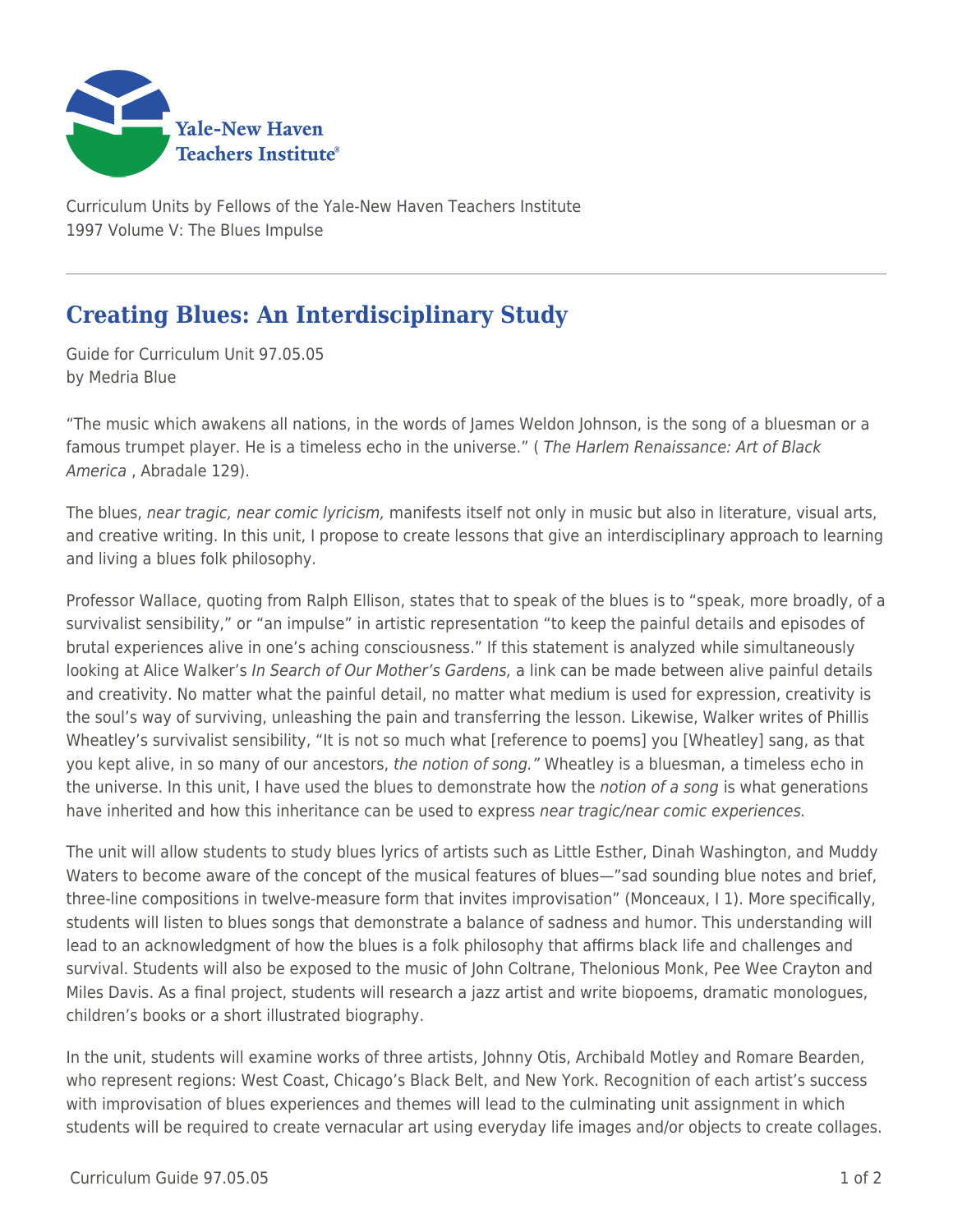

Curriculum Units by Fellows of the Yale-New Haven Teachers Institute 1997 Volume V: The Blues Impulse

## **Creating Blues: An Interdisciplinary Study**

Guide for Curriculum Unit 97.05.05 by Medria Blue

"The music which awakens all nations, in the words of James Weldon Johnson, is the song of a bluesman or a famous trumpet player. He is a timeless echo in the universe." (The Harlem Renaissance: Art of Black America , Abradale 129).

The blues, near tragic, near comic lyricism, manifests itself not only in music but also in literature, visual arts, and creative writing. In this unit, I propose to create lessons that give an interdisciplinary approach to learning and living a blues folk philosophy.

Professor Wallace, quoting from Ralph Ellison, states that to speak of the blues is to "speak, more broadly, of a survivalist sensibility," or "an impulse" in artistic representation "to keep the painful details and episodes of brutal experiences alive in one's aching consciousness." If this statement is analyzed while simultaneously looking at Alice Walker's In Search of Our Mother's Gardens, a link can be made between alive painful details and creativity. No matter what the painful detail, no matter what medium is used for expression, creativity is the soul's way of surviving, unleashing the pain and transferring the lesson. Likewise, Walker writes of Phillis Wheatley's survivalist sensibility, "It is not so much what [reference to poems] you [Wheatley] sang, as that you kept alive, in so many of our ancestors, the notion of song." Wheatley is a bluesman, a timeless echo in the universe. In this unit, I have used the blues to demonstrate how the notion of a song is what generations have inherited and how this inheritance can be used to express near tragic/near comic experiences.

The unit will allow students to study blues lyrics of artists such as Little Esther, Dinah Washington, and Muddy Waters to become aware of the concept of the musical features of blues—"sad sounding blue notes and brief, three-line compositions in twelve-measure form that invites improvisation" (Monceaux, I 1). More specifically, students will listen to blues songs that demonstrate a balance of sadness and humor. This understanding will lead to an acknowledgment of how the blues is a folk philosophy that affirms black life and challenges and survival. Students will also be exposed to the music of John Coltrane, Thelonious Monk, Pee Wee Crayton and Miles Davis. As a final project, students will research a jazz artist and write biopoems, dramatic monologues, children's books or a short illustrated biography.

In the unit, students will examine works of three artists, Johnny Otis, Archibald Motley and Romare Bearden, who represent regions: West Coast, Chicago's Black Belt, and New York. Recognition of each artist's success with improvisation of blues experiences and themes will lead to the culminating unit assignment in which students will be required to create vernacular art using everyday life images and/or objects to create collages.